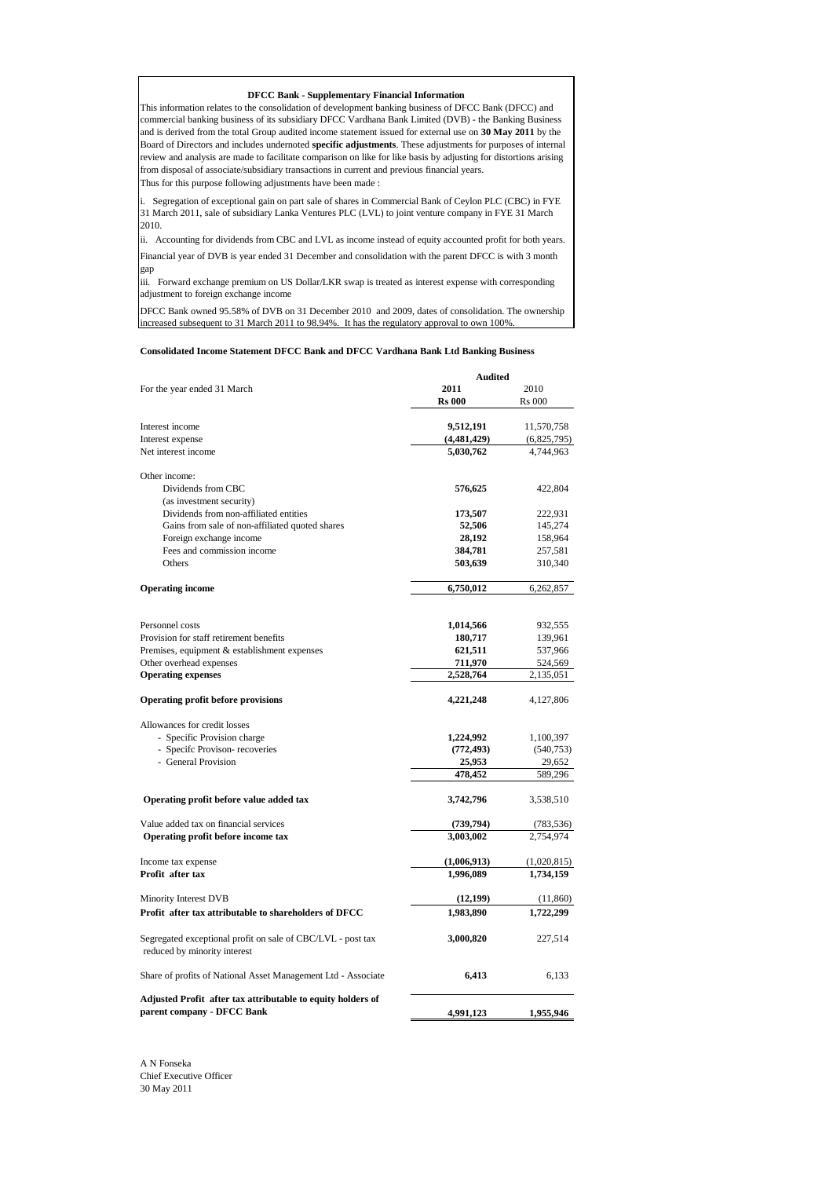## **DFCC Bank - Supplementary Financial Information**

Thus for this purpose following adjustments have been made : This information relates to the consolidation of development banking business of DFCC Bank (DFCC) and commercial banking business of its subsidiary DFCC Vardhana Bank Limited (DVB) - the Banking Business and is derived from the total Group audited income statement issued for external use on **30 May 2011** by the Board of Directors and includes undernoted **specific adjustments**. These adjustments for purposes of internal review and analysis are made to facilitate comparison on like for like basis by adjusting for distortions arising from disposal of associate/subsidiary transactions in current and previous financial years.

i. Segregation of exceptional gain on part sale of shares in Commercial Bank of Ceylon PLC (CBC) in FYE 31 March 2011, sale of subsidiary Lanka Ventures PLC (LVL) to joint venture company in FYE 31 March 2010.

Financial year of DVB is year ended 31 December and consolidation with the parent DFCC is with 3 month gap ii. Accounting for dividends from CBC and LVL as income instead of equity accounted profit for both years.

iii. Forward exchange premium on US Dollar/LKR swap is treated as interest expense with corresponding adjustment to foreign exchange income

DFCC Bank owned 95.58% of DVB on 31 December 2010 and 2009, dates of consolidation. The ownership increased subsequent to 31 March 2011 to 98.94%. It has the regulatory approval to own 100%.

## **Consolidated Income Statement DFCC Bank and DFCC Vardhana Bank Ltd Banking Business**

|                                                                                             | <b>Audited</b> |               |  |
|---------------------------------------------------------------------------------------------|----------------|---------------|--|
| For the year ended 31 March                                                                 | 2011           | 2010          |  |
|                                                                                             | <b>Rs 000</b>  | <b>Rs</b> 000 |  |
|                                                                                             |                |               |  |
| Interest income                                                                             | 9,512,191      | 11,570,758    |  |
| Interest expense                                                                            | (4, 481, 429)  | (6,825,795)   |  |
| Net interest income                                                                         | 5,030,762      | 4,744,963     |  |
| Other income:                                                                               |                |               |  |
| Dividends from CBC                                                                          | 576,625        | 422,804       |  |
| (as investment security)                                                                    |                |               |  |
| Dividends from non-affiliated entities                                                      | 173,507        | 222,931       |  |
| Gains from sale of non-affiliated quoted shares                                             | 52,506         | 145,274       |  |
| Foreign exchange income                                                                     | 28,192         | 158,964       |  |
| Fees and commission income                                                                  | 384,781        | 257,581       |  |
| Others                                                                                      | 503,639        | 310,340       |  |
| <b>Operating income</b>                                                                     | 6,750,012      | 6,262,857     |  |
|                                                                                             |                |               |  |
| Personnel costs                                                                             | 1,014,566      | 932,555       |  |
| Provision for staff retirement benefits                                                     | 180,717        | 139,961       |  |
| Premises, equipment & establishment expenses                                                | 621,511        | 537,966       |  |
| Other overhead expenses                                                                     | 711,970        | 524,569       |  |
| <b>Operating expenses</b>                                                                   | 2,528,764      | 2,135,051     |  |
|                                                                                             |                |               |  |
| Operating profit before provisions                                                          | 4,221,248      | 4,127,806     |  |
| Allowances for credit losses                                                                |                |               |  |
| - Specific Provision charge                                                                 | 1,224,992      | 1,100,397     |  |
| - Specifc Provison- recoveries                                                              | (772, 493)     | (540, 753)    |  |
| - General Provision                                                                         | 25,953         | 29,652        |  |
|                                                                                             | 478,452        | 589,296       |  |
| Operating profit before value added tax                                                     | 3,742,796      | 3,538,510     |  |
| Value added tax on financial services                                                       | (739, 794)     | (783, 536)    |  |
| Operating profit before income tax                                                          | 3,003,002      | 2,754,974     |  |
|                                                                                             |                |               |  |
| Income tax expense                                                                          | (1,006,913)    | (1,020,815)   |  |
| Profit after tax                                                                            | 1,996,089      | 1,734,159     |  |
| Minority Interest DVB                                                                       | (12, 199)      | (11, 860)     |  |
| Profit after tax attributable to shareholders of DFCC                                       | 1,983,890      | 1,722,299     |  |
| Segregated exceptional profit on sale of CBC/LVL - post tax<br>reduced by minority interest | 3,000,820      | 227,514       |  |
| Share of profits of National Asset Management Ltd - Associate                               | 6,413          | 6,133         |  |
| Adjusted Profit after tax attributable to equity holders of<br>parent company - DFCC Bank   | 4,991,123      | 1,955,946     |  |

A N Fonseka Chief Executive Officer 30 May 2011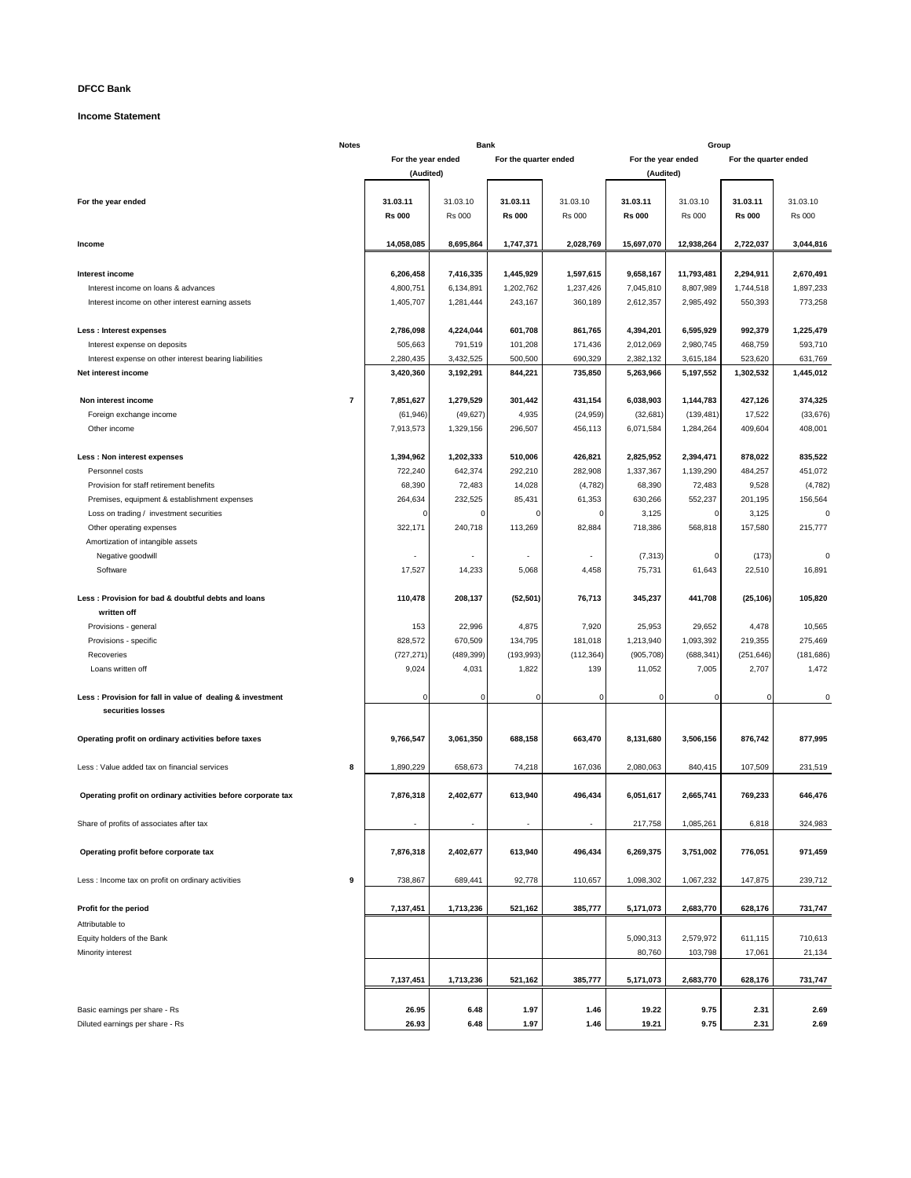# **DFCC Bank**

## **Income Statement**

|                                                              | <b>Notes</b>   |                    | <b>Bank</b>   |                       |                          |                    | Group         |                       |               |
|--------------------------------------------------------------|----------------|--------------------|---------------|-----------------------|--------------------------|--------------------|---------------|-----------------------|---------------|
|                                                              |                | For the year ended |               | For the quarter ended |                          | For the year ended |               | For the quarter ended |               |
|                                                              |                | (Audited)          |               |                       |                          | (Audited)          |               |                       |               |
|                                                              |                |                    |               |                       |                          |                    |               |                       |               |
| For the year ended                                           |                | 31.03.11           | 31.03.10      | 31.03.11              | 31.03.10                 | 31.03.11           | 31.03.10      | 31.03.11              | 31.03.10      |
|                                                              |                |                    |               |                       |                          |                    |               |                       |               |
|                                                              |                | <b>Rs 000</b>      | <b>Rs 000</b> | <b>Rs 000</b>         | <b>Rs 000</b>            | <b>Rs 000</b>      | <b>Rs 000</b> | <b>Rs 000</b>         | <b>Rs 000</b> |
|                                                              |                |                    |               |                       |                          |                    |               |                       |               |
| Income                                                       |                | 14,058,085         | 8,695,864     | 1,747,371             | 2,028,769                | 15,697,070         | 12,938,264    | 2,722,037             | 3,044,816     |
|                                                              |                |                    |               |                       |                          |                    |               |                       |               |
| Interest income                                              |                | 6,206,458          | 7,416,335     | 1,445,929             | 1,597,615                | 9,658,167          | 11,793,481    | 2,294,911             | 2,670,491     |
| Interest income on loans & advances                          |                | 4,800,751          | 6,134,891     | 1,202,762             | 1,237,426                | 7,045,810          | 8,807,989     | 1,744,518             | 1,897,233     |
| Interest income on other interest earning assets             |                | 1,405,707          | 1,281,444     | 243,167               | 360,189                  | 2,612,357          | 2,985,492     | 550,393               | 773,258       |
|                                                              |                |                    |               |                       |                          |                    |               |                       |               |
|                                                              |                |                    |               |                       |                          |                    |               |                       |               |
| <b>Less: Interest expenses</b>                               |                | 2,786,098          | 4,224,044     | 601,708               | 861,765                  | 4,394,201          | 6,595,929     | 992,379               | 1,225,479     |
| Interest expense on deposits                                 |                | 505,663            | 791,519       | 101,208               | 171,436                  | 2,012,069          | 2,980,745     | 468,759               | 593,710       |
| Interest expense on other interest bearing liabilities       |                | 2,280,435          | 3,432,525     | 500,500               | 690,329                  | 2,382,132          | 3,615,184     | 523,620               | 631,769       |
| Net interest income                                          |                | 3,420,360          | 3,192,291     | 844,221               | 735,850                  | 5,263,966          | 5,197,552     | 1,302,532             | 1,445,012     |
|                                                              |                |                    |               |                       |                          |                    |               |                       |               |
| Non interest income                                          | $\overline{7}$ | 7,851,627          | 1,279,529     | 301,442               | 431,154                  | 6,038,903          | 1,144,783     | 427,126               | 374,325       |
| Foreign exchange income                                      |                | (61, 946)          | (49, 627)     | 4,935                 | (24, 959)                | (32, 681)          | (139, 481)    | 17,522                | (33, 676)     |
| Other income                                                 |                | 7,913,573          | 1,329,156     | 296,507               | 456,113                  | 6,071,584          | 1,284,264     | 409,604               | 408,001       |
|                                                              |                |                    |               |                       |                          |                    |               |                       |               |
|                                                              |                |                    |               |                       |                          |                    |               |                       |               |
| Less : Non interest expenses                                 |                | 1,394,962          | 1,202,333     | 510,006               | 426,821                  | 2,825,952          | 2,394,471     | 878,022               | 835,522       |
| Personnel costs                                              |                | 722,240            | 642,374       | 292,210               | 282,908                  | 1,337,367          | 1,139,290     | 484,257               | 451,072       |
| Provision for staff retirement benefits                      |                | 68,390             | 72,483        | 14,028                | (4, 782)                 | 68,390             | 72,483        | 9,528                 | (4, 782)      |
| Premises, equipment & establishment expenses                 |                | 264,634            | 232,525       | 85,431                | 61,353                   | 630,266            | 552,237       | 201,195               | 156,564       |
| Loss on trading / investment securities                      |                | 0                  | $\Omega$      |                       | $\Omega$                 | 3,125              | 0             | 3,125                 |               |
| Other operating expenses                                     |                | 322,171            | 240,718       | 113,269               | 82,884                   | 718,386            | 568,818       | 157,580               | 215,777       |
| Amortization of intangible assets                            |                |                    |               |                       |                          |                    |               |                       |               |
|                                                              |                |                    |               |                       |                          |                    |               |                       |               |
| Negative goodwill                                            |                |                    |               |                       | $\overline{\phantom{a}}$ | (7, 313)           | 0             | (173)                 |               |
| Software                                                     |                | 17,527             | 14,233        | 5,068                 | 4,458                    | 75,731             | 61,643        | 22,510                | 16,891        |
|                                                              |                |                    |               |                       |                          |                    |               |                       |               |
| Less: Provision for bad & doubtful debts and loans           |                | 110,478            | 208,137       | (52, 501)             | 76,713                   | 345,237            | 441,708       | (25, 106)             | 105,820       |
| written off                                                  |                |                    |               |                       |                          |                    |               |                       |               |
| Provisions - general                                         |                | 153                | 22,996        | 4,875                 | 7,920                    | 25,953             | 29,652        | 4,478                 | 10,565        |
| Provisions - specific                                        |                | 828,572            | 670,509       | 134,795               | 181,018                  | 1,213,940          | 1,093,392     | 219,355               | 275,469       |
| Recoveries                                                   |                | (727, 271)         | (489, 399)    | (193, 993)            | (112, 364)               | (905, 708)         | (688, 341)    | (251, 646)            | (181, 686)    |
| Loans written off                                            |                | 9,024              | 4,031         | 1,822                 | 139                      | 11,052             | 7,005         | 2,707                 | 1,472         |
|                                                              |                |                    |               |                       |                          |                    |               |                       |               |
|                                                              |                |                    |               |                       |                          |                    |               |                       |               |
| Less: Provision for fall in value of dealing & investment    |                | $\Omega$           | $\mathbf 0$   | 0                     | $\mathbf 0$              | $\mathbf 0$        | $\mathbf 0$   | $\Omega$              | 0             |
| securities losses                                            |                |                    |               |                       |                          |                    |               |                       |               |
|                                                              |                |                    |               |                       |                          |                    |               |                       |               |
| Operating profit on ordinary activities before taxes         |                | 9,766,547          | 3,061,350     | 688,158               | 663,470                  | 8,131,680          | 3,506,156     | 876,742               | 877,995       |
|                                                              |                |                    |               |                       |                          |                    |               |                       |               |
| Less : Value added tax on financial services                 | 8              | 1,890,229          | 658,673       | 74,218                | 167,036                  | 2,080,063          | 840,415       | 107,509               | 231,519       |
|                                                              |                |                    |               |                       |                          |                    |               |                       |               |
|                                                              |                | 7,876,318          | 2,402,677     | 613,940               | 496,434                  | 6,051,617          | 2,665,741     | 769,233               | 646,476       |
| Operating profit on ordinary activities before corporate tax |                |                    |               |                       |                          |                    |               |                       |               |
|                                                              |                |                    |               |                       |                          |                    |               |                       |               |
| Share of profits of associates after tax                     |                |                    |               |                       |                          | 217,758            | 1,085,261     | 6,818                 | 324,983       |
|                                                              |                |                    |               |                       |                          |                    |               |                       |               |
| Operating profit before corporate tax                        |                | 7,876,318          | 2,402,677     | 613,940               | 496,434                  | 6,269,375          | 3,751,002     | 776,051               | 971,459       |
|                                                              |                |                    |               |                       |                          |                    |               |                       |               |
| Less : Income tax on profit on ordinary activities           | 9              | 738,867            | 689,441       | 92,778                | 110,657                  | 1,098,302          | 1,067,232     | 147,875               | 239,712       |
|                                                              |                |                    |               |                       |                          |                    |               |                       |               |
| Profit for the period                                        |                | 7,137,451          | 1,713,236     | 521,162               | 385,777                  | 5,171,073          | 2,683,770     | 628,176               | 731,747       |
|                                                              |                |                    |               |                       |                          |                    |               |                       |               |
| Attributable to                                              |                |                    |               |                       |                          |                    |               |                       |               |
| Equity holders of the Bank                                   |                |                    |               |                       |                          | 5,090,313          | 2,579,972     | 611,115               | 710,613       |
| Minority interest                                            |                |                    |               |                       |                          | 80,760             | 103,798       | 17,061                | 21,134        |
|                                                              |                |                    |               |                       |                          |                    |               |                       |               |
|                                                              |                | 7,137,451          | 1,713,236     | 521,162               | 385,777                  | 5,171,073          | 2,683,770     | 628,176               | 731,747       |
|                                                              |                |                    |               |                       |                          |                    |               |                       |               |
|                                                              |                |                    |               |                       |                          | 19.22              | 9.75          |                       |               |
| Basic earnings per share - Rs                                |                | 26.95              | 6.48          | 1.97                  | 1.46                     |                    |               | 2.31                  | 2.69          |
| Diluted earnings per share - Rs                              |                | 26.93              | 6.48          | 1.97                  | 1.46                     | 19.21              | 9.75          | 2.31                  | 2.69          |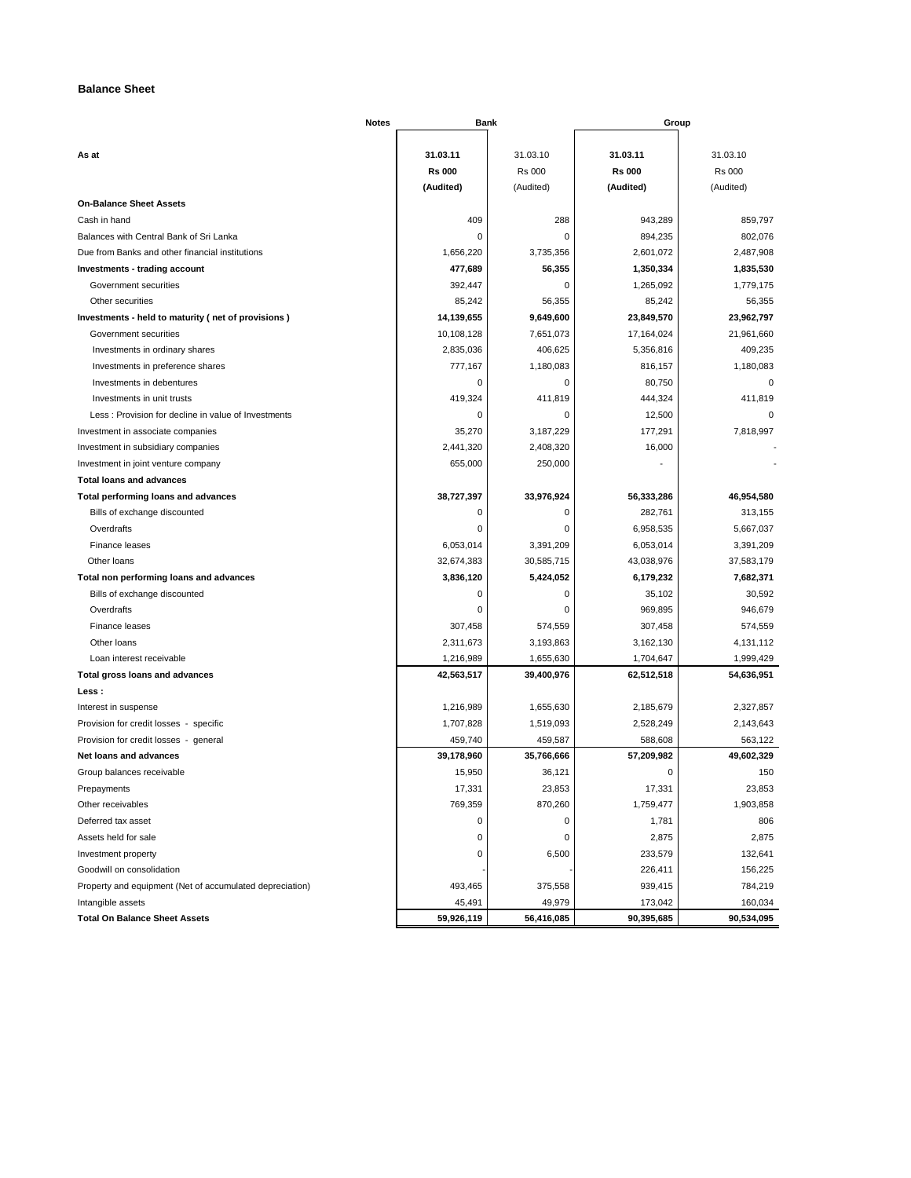# **Balance Sheet**

| Notes                                                    | <b>Bank</b>   |               | Group         |               |
|----------------------------------------------------------|---------------|---------------|---------------|---------------|
|                                                          | 31.03.11      | 31.03.10      | 31.03.11      | 31.03.10      |
| As at                                                    | <b>Rs 000</b> | <b>Rs 000</b> | <b>Rs 000</b> | <b>Rs 000</b> |
|                                                          | (Audited)     | (Audited)     | (Audited)     | (Audited)     |
| <b>On-Balance Sheet Assets</b>                           |               |               |               |               |
| Cash in hand                                             | 409           | 288           | 943,289       | 859,797       |
| Balances with Central Bank of Sri Lanka                  | 0             | $\mathsf 0$   | 894,235       | 802,076       |
| Due from Banks and other financial institutions          | 1,656,220     | 3,735,356     | 2,601,072     | 2,487,908     |
| Investments - trading account                            | 477,689       | 56,355        | 1,350,334     | 1,835,530     |
| Government securities                                    | 392,447       | $\pmb{0}$     | 1,265,092     | 1,779,175     |
| Other securities                                         | 85,242        | 56,355        | 85,242        | 56,355        |
| Investments - held to maturity (net of provisions)       | 14,139,655    | 9,649,600     | 23,849,570    | 23,962,797    |
| Government securities                                    | 10,108,128    | 7,651,073     | 17,164,024    | 21,961,660    |
| Investments in ordinary shares                           | 2,835,036     | 406,625       | 5,356,816     | 409,235       |
| Investments in preference shares                         | 777,167       | 1,180,083     | 816,157       | 1,180,083     |
| Investments in debentures                                | 0             | $\mathsf 0$   | 80,750        | $\mathbf 0$   |
| Investments in unit trusts                               | 419,324       | 411,819       | 444,324       | 411,819       |
| Less: Provision for decline in value of Investments      | 0             | 0             | 12,500        | $\Omega$      |
| Investment in associate companies                        | 35,270        | 3,187,229     | 177,291       | 7,818,997     |
| Investment in subsidiary companies                       | 2,441,320     | 2,408,320     | 16,000        |               |
| Investment in joint venture company                      | 655,000       | 250,000       |               |               |
| <b>Total loans and advances</b>                          |               |               |               |               |
| Total performing loans and advances                      | 38,727,397    | 33,976,924    | 56,333,286    | 46,954,580    |
| Bills of exchange discounted                             | 0             | $\pmb{0}$     | 282,761       | 313,155       |
| Overdrafts                                               | 0             | $\mathsf 0$   | 6,958,535     | 5,667,037     |
| Finance leases                                           | 6,053,014     | 3,391,209     | 6,053,014     | 3,391,209     |
| Other loans                                              | 32,674,383    | 30,585,715    | 43,038,976    | 37,583,179    |
| Total non performing loans and advances                  | 3,836,120     | 5,424,052     | 6,179,232     | 7,682,371     |
| Bills of exchange discounted                             | 0             | 0             | 35,102        | 30,592        |
| Overdrafts                                               | 0             | 0             | 969,895       | 946,679       |
| Finance leases                                           | 307,458       | 574,559       | 307,458       | 574,559       |
| Other loans                                              | 2,311,673     | 3,193,863     | 3,162,130     | 4,131,112     |
| Loan interest receivable                                 | 1,216,989     | 1,655,630     | 1,704,647     | 1,999,429     |
| Total gross loans and advances                           | 42,563,517    | 39,400,976    | 62,512,518    | 54,636,951    |
| Less :                                                   |               |               |               |               |
| Interest in suspense                                     | 1,216,989     | 1,655,630     | 2,185,679     | 2,327,857     |
| Provision for credit losses - specific                   | 1,707,828     | 1,519,093     | 2,528,249     | 2,143,643     |
| Provision for credit losses - general                    | 459,740       | 459,587       | 588,608       | 563,122       |
| Net loans and advances                                   | 39,178,960    | 35,766,666    | 57,209,982    | 49,602,329    |
| Group balances receivable                                | 15,950        | 36,121        | 0             | 150           |
| Prepayments                                              | 17,331        | 23,853        | 17,331        | 23,853        |
| Other receivables                                        | 769,359       | 870,260       | 1,759,477     | 1,903,858     |
| Deferred tax asset                                       | 0             | 0             | 1,781         | 806           |
| Assets held for sale                                     | 0             | $\pmb{0}$     | 2,875         | 2,875         |
| Investment property                                      | 0             | 6,500         | 233,579       | 132,641       |
| Goodwill on consolidation                                |               |               | 226,411       | 156,225       |
| Property and equipment (Net of accumulated depreciation) | 493,465       | 375,558       | 939,415       | 784,219       |
| Intangible assets                                        | 45,491        | 49,979        | 173,042       | 160,034       |
| <b>Total On Balance Sheet Assets</b>                     | 59,926,119    | 56,416,085    | 90,395,685    | 90,534,095    |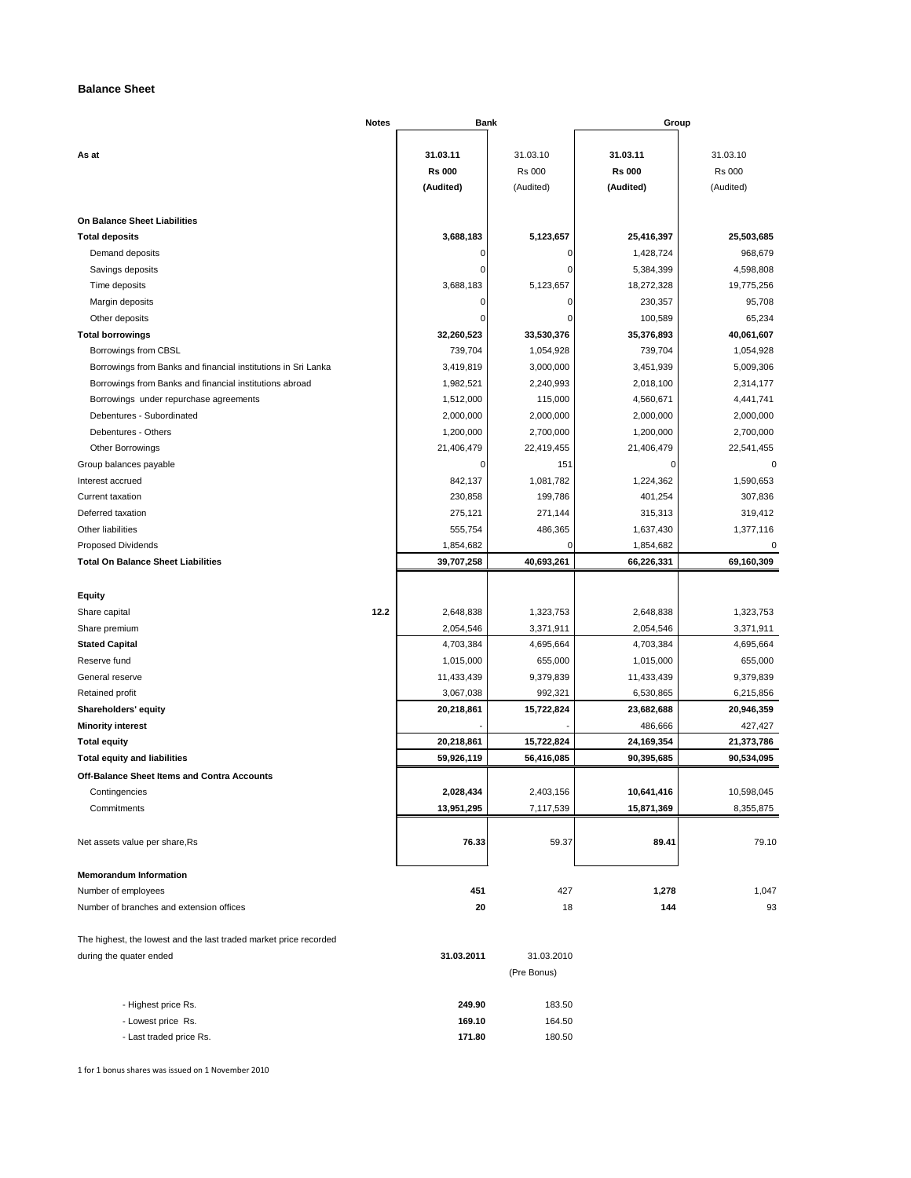# **Balance Sheet**

|                                                                   | Notes | <b>Bank</b>   |               | Group         |               |  |
|-------------------------------------------------------------------|-------|---------------|---------------|---------------|---------------|--|
|                                                                   |       |               |               |               |               |  |
| As at                                                             |       | 31.03.11      | 31.03.10      | 31.03.11      | 31.03.10      |  |
|                                                                   |       | <b>Rs 000</b> | <b>Rs 000</b> | <b>Rs 000</b> | <b>Rs 000</b> |  |
|                                                                   |       | (Audited)     | (Audited)     | (Audited)     | (Audited)     |  |
| On Balance Sheet Liabilities                                      |       |               |               |               |               |  |
| <b>Total deposits</b>                                             |       | 3,688,183     | 5,123,657     | 25,416,397    | 25,503,685    |  |
| Demand deposits                                                   |       | 0             | 0             | 1,428,724     | 968,679       |  |
| Savings deposits                                                  |       | $\mathbf 0$   | $\mathbf 0$   | 5,384,399     | 4,598,808     |  |
| Time deposits                                                     |       | 3,688,183     | 5,123,657     | 18,272,328    | 19,775,256    |  |
| Margin deposits                                                   |       | $\mathbf 0$   | $\mathbf 0$   | 230,357       | 95,708        |  |
| Other deposits                                                    |       | O             | 0             | 100,589       | 65,234        |  |
| <b>Total borrowings</b>                                           |       | 32,260,523    | 33,530,376    | 35,376,893    | 40,061,607    |  |
| Borrowings from CBSL                                              |       | 739,704       | 1,054,928     | 739,704       | 1,054,928     |  |
| Borrowings from Banks and financial institutions in Sri Lanka     |       | 3,419,819     | 3,000,000     | 3,451,939     | 5,009,306     |  |
| Borrowings from Banks and financial institutions abroad           |       | 1,982,521     | 2,240,993     | 2,018,100     | 2,314,177     |  |
| Borrowings under repurchase agreements                            |       | 1,512,000     | 115,000       | 4,560,671     | 4,441,741     |  |
| Debentures - Subordinated                                         |       | 2,000,000     | 2,000,000     | 2,000,000     | 2,000,000     |  |
| Debentures - Others                                               |       | 1,200,000     | 2,700,000     | 1,200,000     | 2,700,000     |  |
| Other Borrowings                                                  |       | 21,406,479    | 22,419,455    | 21,406,479    | 22,541,455    |  |
| Group balances payable                                            |       | 0             | 151           | 0             | 0             |  |
| Interest accrued                                                  |       | 842,137       | 1,081,782     | 1,224,362     | 1,590,653     |  |
| Current taxation                                                  |       | 230,858       | 199,786       | 401,254       | 307,836       |  |
| Deferred taxation                                                 |       | 275,121       | 271,144       | 315,313       | 319,412       |  |
| Other liabilities                                                 |       | 555,754       | 486,365       | 1,637,430     | 1,377,116     |  |
| <b>Proposed Dividends</b>                                         |       | 1,854,682     | 0             | 1,854,682     | 0             |  |
| <b>Total On Balance Sheet Liabilities</b>                         |       | 39,707,258    | 40,693,261    | 66,226,331    | 69,160,309    |  |
|                                                                   |       |               |               |               |               |  |
| <b>Equity</b>                                                     |       |               |               |               |               |  |
| Share capital                                                     | 12.2  | 2,648,838     | 1,323,753     | 2,648,838     | 1,323,753     |  |
| Share premium                                                     |       | 2,054,546     | 3,371,911     | 2,054,546     | 3,371,911     |  |
| <b>Stated Capital</b>                                             |       | 4,703,384     | 4,695,664     | 4,703,384     | 4,695,664     |  |
| Reserve fund                                                      |       | 1,015,000     | 655,000       | 1,015,000     | 655,000       |  |
| General reserve                                                   |       | 11,433,439    | 9,379,839     | 11,433,439    | 9,379,839     |  |
| Retained profit                                                   |       | 3,067,038     | 992,321       | 6,530,865     | 6,215,856     |  |
| Shareholders' equity                                              |       | 20,218,861    | 15,722,824    | 23,682,688    | 20,946,359    |  |
| <b>Minority interest</b>                                          |       |               |               | 486,666       | 427,427       |  |
| <b>Total equity</b>                                               |       | 20,218,861    | 15,722,824    | 24,169,354    | 21,373,786    |  |
| <b>Total equity and liabilities</b>                               |       | 59,926,119    | 56,416,085    | 90,395,685    | 90,534,095    |  |
| Off-Balance Sheet Items and Contra Accounts                       |       |               |               |               |               |  |
| Contingencies                                                     |       | 2,028,434     | 2,403,156     | 10,641,416    | 10,598,045    |  |
| Commitments                                                       |       | 13,951,295    | 7,117,539     | 15,871,369    | 8,355,875     |  |
|                                                                   |       |               |               |               |               |  |
| Net assets value per share, Rs                                    |       | 76.33         | 59.37         | 89.41         | 79.10         |  |
| <b>Memorandum Information</b>                                     |       |               |               |               |               |  |
| Number of employees                                               |       | 451           | 427           | 1,278         | 1,047         |  |
| Number of branches and extension offices                          |       | 20            | 18            | 144           | 93            |  |
|                                                                   |       |               |               |               |               |  |
| The highest, the lowest and the last traded market price recorded |       |               |               |               |               |  |
| during the quater ended                                           |       | 31.03.2011    | 31.03.2010    |               |               |  |
|                                                                   |       |               | (Pre Bonus)   |               |               |  |
|                                                                   |       |               |               |               |               |  |
| - Highest price Rs.                                               |       | 249.90        | 183.50        |               |               |  |
| - Lowest price Rs.                                                |       | 169.10        | 164.50        |               |               |  |
| - Last traded price Rs.                                           |       | 171.80        | 180.50        |               |               |  |

1 for 1 bonus shares was issued on 1 November 2010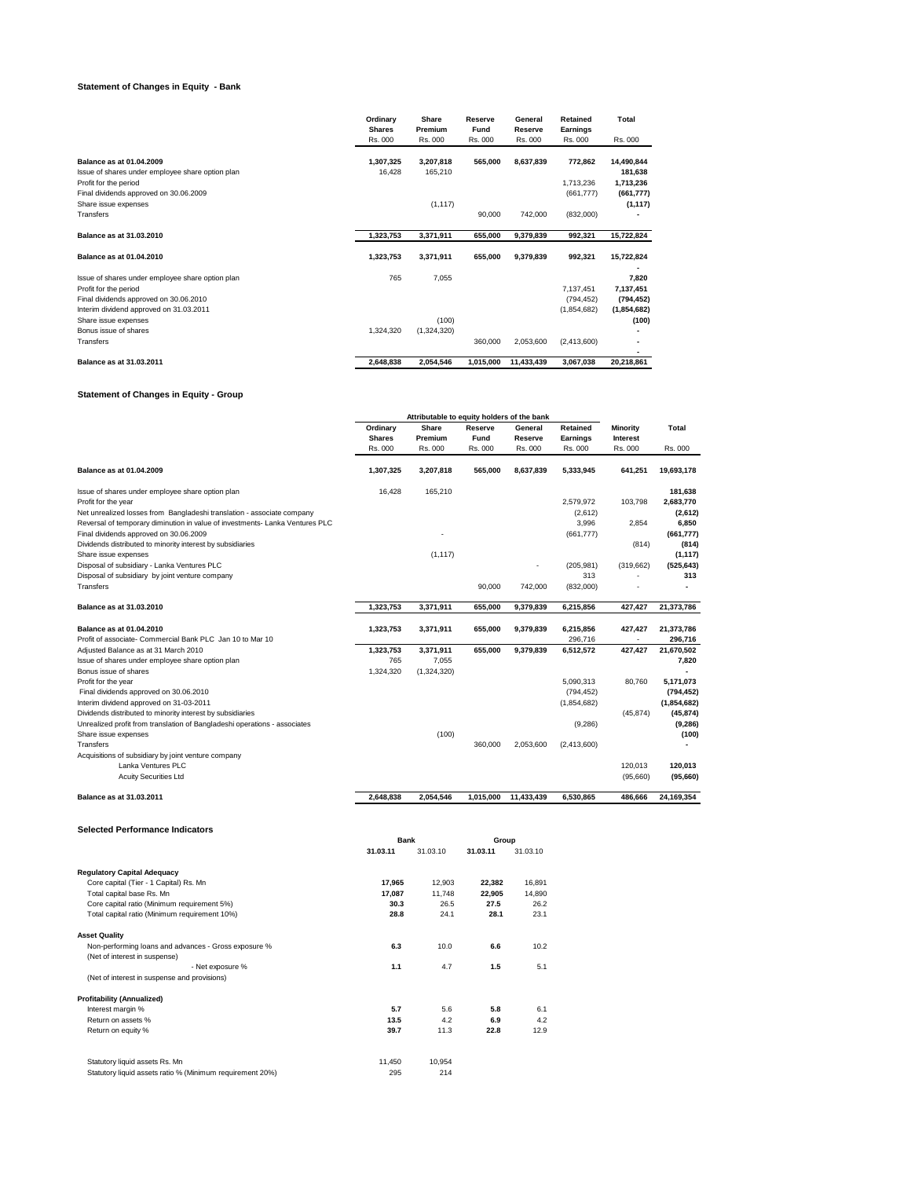# **Statement of Changes in Equity - Bank**

|                                                  | Ordinary<br><b>Shares</b> | Share<br>Premium | Reserve<br>Fund | General<br>Reserve | Retained<br>Earnings | Total       |
|--------------------------------------------------|---------------------------|------------------|-----------------|--------------------|----------------------|-------------|
|                                                  | Rs. 000                   | Rs. 000          | Rs. 000         | Rs. 000            | Rs. 000              | Rs. 000     |
| Balance as at 01.04.2009                         | 1,307,325                 | 3,207,818        | 565,000         | 8,637,839          | 772,862              | 14,490,844  |
| Issue of shares under employee share option plan | 16.428                    | 165,210          |                 |                    |                      | 181,638     |
| Profit for the period                            |                           |                  |                 |                    | 1,713,236            | 1,713,236   |
| Final dividends approved on 30.06.2009           |                           |                  |                 |                    | (661, 777)           | (661, 777)  |
| Share issue expenses                             |                           | (1, 117)         |                 |                    |                      | (1, 117)    |
| Transfers                                        |                           |                  | 90,000          | 742,000            | (832,000)            |             |
| Balance as at 31.03.2010                         | 1,323,753                 | 3,371,911        | 655,000         | 9,379,839          | 992,321              | 15,722,824  |
| Balance as at 01.04.2010                         | 1,323,753                 | 3,371,911        | 655,000         | 9,379,839          | 992,321              | 15,722,824  |
|                                                  |                           |                  |                 |                    |                      |             |
| Issue of shares under employee share option plan | 765                       | 7,055            |                 |                    |                      | 7,820       |
| Profit for the period                            |                           |                  |                 |                    | 7.137.451            | 7,137,451   |
| Final dividends approved on 30.06.2010           |                           |                  |                 |                    | (794, 452)           | (794, 452)  |
| Interim dividend approved on 31.03.2011          |                           |                  |                 |                    | (1,854,682)          | (1,854,682) |
| Share issue expenses                             |                           | (100)            |                 |                    |                      | (100)       |
| Bonus issue of shares                            | 1.324.320                 | (1,324,320)      |                 |                    |                      |             |
| Transfers                                        |                           |                  | 360,000         | 2.053.600          | (2,413,600)          |             |
|                                                  |                           |                  |                 |                    |                      |             |
| Balance as at 31.03.2011                         | 2,648,838                 | 2,054,546        | 1,015,000       | 11,433,439         | 3,067,038            | 20,218,861  |

# **Statement of Changes in Equity - Group**

|                                                                              |               | Attributable to equity holders of the bank |           |            |             |                 |              |
|------------------------------------------------------------------------------|---------------|--------------------------------------------|-----------|------------|-------------|-----------------|--------------|
|                                                                              | Ordinary      | Share                                      | Reserve   | General    | Retained    | Minority        | <b>Total</b> |
|                                                                              | <b>Shares</b> | Premium                                    | Fund      | Reserve    | Earnings    | <b>Interest</b> |              |
|                                                                              | Rs. 000       | Rs. 000                                    | Rs. 000   | Rs. 000    | Rs. 000     | Rs. 000         | Rs. 000      |
| Balance as at 01.04.2009                                                     | 1,307,325     | 3,207,818                                  | 565,000   | 8,637,839  | 5.333.945   | 641,251         | 19.693.178   |
| Issue of shares under employee share option plan                             | 16.428        | 165,210                                    |           |            |             |                 | 181.638      |
| Profit for the year                                                          |               |                                            |           |            | 2.579.972   | 103.798         | 2,683,770    |
| Net unrealized losses from Bangladeshi translation - associate company       |               |                                            |           |            | (2,612)     |                 | (2,612)      |
| Reversal of temporary diminution in value of investments- Lanka Ventures PLC |               |                                            |           |            | 3,996       | 2,854           | 6,850        |
| Final dividends approved on 30.06.2009                                       |               |                                            |           |            | (661, 777)  |                 | (661, 777)   |
| Dividends distributed to minority interest by subsidiaries                   |               |                                            |           |            |             | (814)           | (814)        |
| Share issue expenses                                                         |               | (1, 117)                                   |           |            |             |                 | (1, 117)     |
| Disposal of subsidiary - Lanka Ventures PLC                                  |               |                                            |           |            | (205, 981)  | (319, 662)      | (525, 643)   |
| Disposal of subsidiary by joint venture company                              |               |                                            |           |            | 313         |                 | 313          |
| Transfers                                                                    |               |                                            | 90,000    | 742,000    | (832,000)   |                 |              |
| Balance as at 31.03.2010                                                     | 1,323,753     | 3,371,911                                  | 655,000   | 9,379,839  | 6,215,856   | 427,427         | 21,373,786   |
| Balance as at 01.04.2010                                                     | 1,323,753     | 3,371,911                                  | 655.000   | 9,379,839  | 6,215,856   | 427.427         | 21,373,786   |
| Profit of associate- Commercial Bank PLC Jan 10 to Mar 10                    |               |                                            |           |            | 296,716     |                 | 296,716      |
| Adjusted Balance as at 31 March 2010                                         | 1,323,753     | 3,371,911                                  | 655.000   | 9,379,839  | 6,512,572   | 427.427         | 21,670,502   |
| Issue of shares under employee share option plan                             | 765           | 7,055                                      |           |            |             |                 | 7,820        |
| Bonus issue of shares                                                        | 1,324,320     | (1,324,320)                                |           |            |             |                 |              |
| Profit for the year                                                          |               |                                            |           |            | 5.090.313   | 80.760          | 5.171.073    |
| Final dividends approved on 30.06.2010                                       |               |                                            |           |            | (794, 452)  |                 | (794, 452)   |
| Interim dividend approved on 31-03-2011                                      |               |                                            |           |            | (1,854,682) |                 | (1,854,682)  |
| Dividends distributed to minority interest by subsidiaries                   |               |                                            |           |            |             | (45, 874)       | (45, 874)    |
| Unrealized profit from translation of Bangladeshi operations - associates    |               |                                            |           |            | (9,286)     |                 | (9, 286)     |
| Share issue expenses                                                         |               | (100)                                      |           |            |             |                 | (100)        |
| Transfers                                                                    |               |                                            | 360,000   | 2.053.600  | (2,413,600) |                 |              |
| Acquisitions of subsidiary by joint venture company                          |               |                                            |           |            |             |                 |              |
| Lanka Ventures PLC                                                           |               |                                            |           |            |             | 120,013         | 120,013      |
| <b>Acuity Securities Ltd</b>                                                 |               |                                            |           |            |             | (95,660)        | (95,660)     |
| Balance as at 31.03.2011                                                     | 2.648.838     | 2,054,546                                  | 1.015.000 | 11,433,439 | 6.530.865   | 486.666         | 24.169.354   |

## **Selected Performance Indicators**

| Selected Performance Indicators                           |             |          |          |          |  |  |
|-----------------------------------------------------------|-------------|----------|----------|----------|--|--|
|                                                           | <b>Bank</b> |          |          | Group    |  |  |
|                                                           | 31.03.11    | 31.03.10 | 31.03.11 | 31.03.10 |  |  |
| <b>Regulatory Capital Adequacy</b>                        |             |          |          |          |  |  |
| Core capital (Tier - 1 Capital) Rs. Mn                    | 17,965      | 12,903   | 22,382   | 16,891   |  |  |
| Total capital base Rs. Mn                                 | 17,087      | 11.748   | 22,905   | 14,890   |  |  |
| Core capital ratio (Minimum requirement 5%)               | 30.3        | 26.5     | 27.5     | 26.2     |  |  |
| Total capital ratio (Minimum requirement 10%)             | 28.8        | 24.1     | 28.1     | 23.1     |  |  |
| <b>Asset Quality</b>                                      |             |          |          |          |  |  |
| Non-performing loans and advances - Gross exposure %      | 6.3         | 10.0     | 6.6      | 10.2     |  |  |
| (Net of interest in suspense)                             |             |          |          |          |  |  |
| - Net exposure %                                          | 1.1         | 4.7      | 1.5      | 5.1      |  |  |
| (Net of interest in suspense and provisions)              |             |          |          |          |  |  |
| <b>Profitability (Annualized)</b>                         |             |          |          |          |  |  |
| Interest margin %                                         | 5.7         | 5.6      | 5.8      | 6.1      |  |  |
| Return on assets %                                        | 13.5        | 4.2      | 6.9      | 4.2      |  |  |
| Return on equity %                                        | 39.7        | 11.3     | 22.8     | 12.9     |  |  |
| Statutory liquid assets Rs. Mn                            | 11,450      | 10,954   |          |          |  |  |
| Statutory liquid assets ratio % (Minimum requirement 20%) | 295         | 214      |          |          |  |  |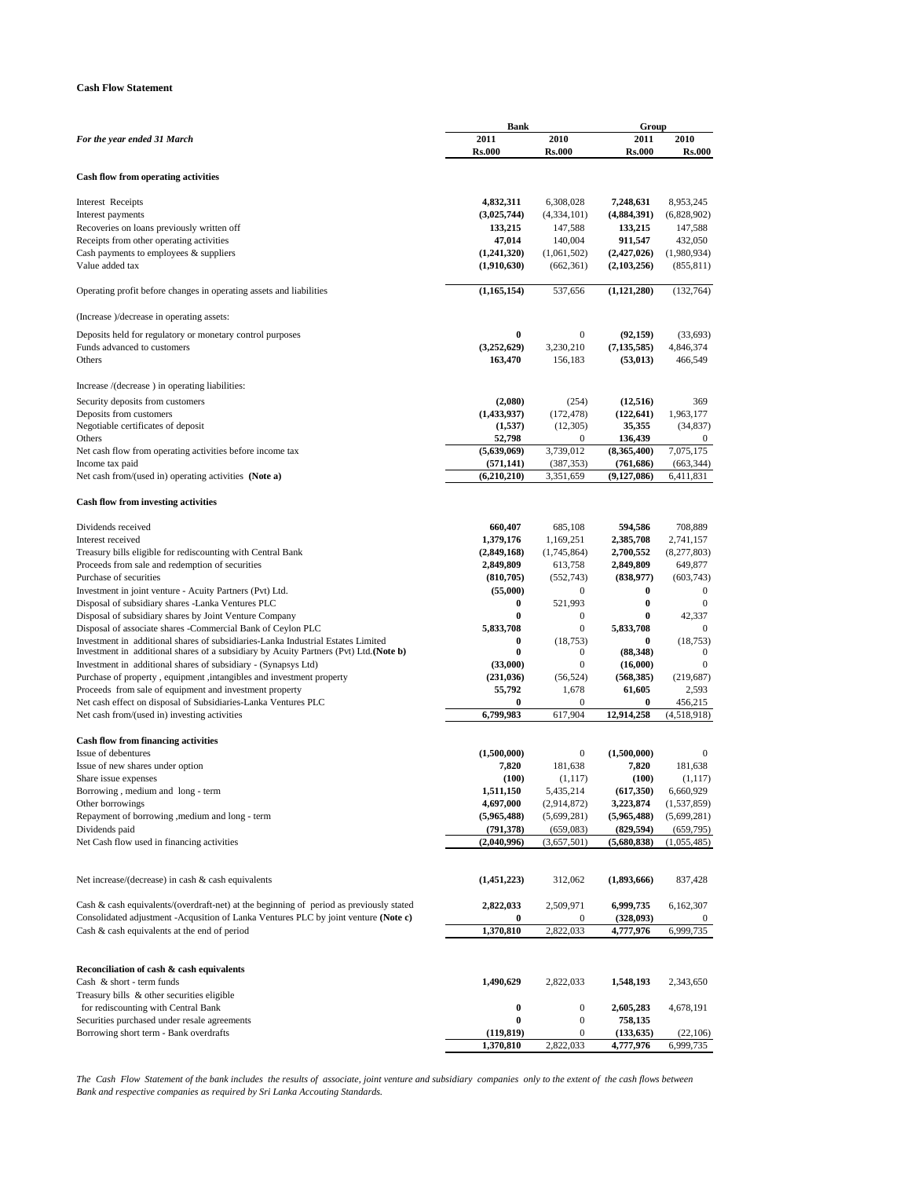# **Cash Flow Statement**

|                                                                                            | Bank          |                  | Group         |                  |
|--------------------------------------------------------------------------------------------|---------------|------------------|---------------|------------------|
| For the year ended 31 March                                                                | 2011          | 2010             | 2011          | 2010             |
|                                                                                            | <b>Rs.000</b> | <b>Rs.000</b>    | <b>Rs.000</b> | Rs.000           |
|                                                                                            |               |                  |               |                  |
| <b>Cash flow from operating activities</b>                                                 |               |                  |               |                  |
|                                                                                            |               |                  |               |                  |
| Interest Receipts                                                                          | 4,832,311     | 6,308,028        | 7,248,631     | 8,953,245        |
| Interest payments                                                                          | (3,025,744)   | (4,334,101)      | (4,884,391)   | (6,828,902)      |
| Recoveries on loans previously written off                                                 | 133,215       | 147,588          | 133,215       | 147,588          |
| Receipts from other operating activities                                                   | 47,014        | 140,004          | 911,547       | 432,050          |
| Cash payments to employees & suppliers                                                     | (1,241,320)   | (1,061,502)      | (2,427,026)   | (1,980,934)      |
| Value added tax                                                                            | (1,910,630)   | (662, 361)       | (2,103,256)   | (855, 811)       |
|                                                                                            |               |                  |               |                  |
| Operating profit before changes in operating assets and liabilities                        | (1, 165, 154) | 537,656          | (1,121,280)   | (132,764)        |
|                                                                                            |               |                  |               |                  |
| (Increase )/decrease in operating assets:                                                  |               |                  |               |                  |
| Deposits held for regulatory or monetary control purposes                                  | $\bf{0}$      | $\bf{0}$         | (92, 159)     | (33,693)         |
| Funds advanced to customers                                                                | (3,252,629)   | 3,230,210        | (7, 135, 585) | 4,846,374        |
| Others                                                                                     | 163,470       | 156,183          | (53, 013)     | 466,549          |
|                                                                                            |               |                  |               |                  |
|                                                                                            |               |                  |               |                  |
| Increase /(decrease) in operating liabilities:                                             |               |                  |               |                  |
| Security deposits from customers                                                           | (2,080)       | (254)            | (12, 516)     | 369              |
| Deposits from customers                                                                    | (1,433,937)   | (172, 478)       | (122, 641)    | 1,963,177        |
| Negotiable certificates of deposit                                                         | (1,537)       | (12,305)         | 35,355        | (34, 837)        |
| Others                                                                                     | 52,798        | 0                | 136,439       | $\theta$         |
| Net cash flow from operating activities before income tax                                  | (5,639,069)   | 3,739,012        | (8,365,400)   | 7,075,175        |
| Income tax paid                                                                            | (571, 141)    | (387, 353)       | (761, 686)    | (663, 344)       |
| Net cash from/(used in) operating activities (Note a)                                      | (6,210,210)   | 3,351,659        | (9, 127, 086) | 6,411,831        |
|                                                                                            |               |                  |               |                  |
| <b>Cash flow from investing activities</b>                                                 |               |                  |               |                  |
|                                                                                            |               |                  |               |                  |
| Dividends received                                                                         | 660,407       | 685,108          | 594,586       | 708,889          |
| Interest received                                                                          | 1,379,176     | 1,169,251        | 2,385,708     | 2,741,157        |
| Treasury bills eligible for rediscounting with Central Bank                                | (2,849,168)   | (1,745,864)      | 2,700,552     | (8,277,803)      |
| Proceeds from sale and redemption of securities                                            | 2,849,809     | 613,758          | 2,849,809     | 649,877          |
| Purchase of securities                                                                     | (810, 705)    | (552, 743)       | (838,977)     | (603, 743)       |
| Investment in joint venture - Acuity Partners (Pvt) Ltd.                                   | (55,000)      | 0                | 0             | $\bf{0}$         |
| Disposal of subsidiary shares -Lanka Ventures PLC                                          | $\bf{0}$      | 521,993          | $\bf{0}$      | $\mathbf{0}$     |
| Disposal of subsidiary shares by Joint Venture Company                                     | $\bf{0}$      | 0                | $\bf{0}$      | 42,337           |
| Disposal of associate shares -Commercial Bank of Ceylon PLC                                | 5,833,708     | $\boldsymbol{0}$ | 5,833,708     | $\bf{0}$         |
| Investment in additional shares of subsidiaries-Lanka Industrial Estates Limited           | $\bf{0}$      | (18, 753)        | 0             | (18, 753)        |
| Investment in additional shares of a subsidiary by Acuity Partners (Pvt) Ltd.(Note b)      | $\bf{0}$      | 0                | (88, 348)     | $\mathbf{0}$     |
| Investment in additional shares of subsidiary - (Synapsys Ltd)                             | (33,000)      | $\boldsymbol{0}$ | (16,000)      | $\boldsymbol{0}$ |
| Purchase of property, equipment, intangibles and investment property                       | (231, 036)    | (56, 524)        | (568, 385)    | (219, 687)       |
| Proceeds from sale of equipment and investment property                                    | 55,792        | 1,678            | 61,605        | 2,593            |
| Net cash effect on disposal of Subsidiaries-Lanka Ventures PLC                             | $\bf{0}$      | 0                | 0             | 456,215          |
| Net cash from/(used in) investing activities                                               | 6,799,983     | 617,904          | 12,914,258    | (4,518,918)      |
|                                                                                            |               |                  |               |                  |
| <b>Cash flow from financing activities</b>                                                 |               |                  |               |                  |
| Issue of debentures                                                                        | (1,500,000)   | $\boldsymbol{0}$ | (1,500,000)   | $\boldsymbol{0}$ |
| Issue of new shares under option                                                           | 7,820         | 181,638          | 7,820         | 181,638          |
| Share issue expenses                                                                       | (100)         | (1,117)          | (100)         | (1,117)          |
| Borrowing, medium and long - term                                                          | 1,511,150     | 5,435,214        | (617,350)     | 6,660,929        |
| Other borrowings                                                                           | 4,697,000     | (2,914,872)      | 3,223,874     | (1, 537, 859)    |
| Repayment of borrowing , medium and long - term                                            | (5,965,488)   | (5,699,281)      | (5,965,488)   | (5,699,281)      |
| Dividends paid                                                                             | (791, 378)    | (659,083)        | (829, 594)    | (659, 795)       |
| Net Cash flow used in financing activities                                                 | (2,040,996)   | (3,657,501)      | (5,680,838)   | (1,055,485)      |
|                                                                                            |               |                  |               |                  |
|                                                                                            |               |                  |               |                  |
| Net increase/(decrease) in cash & cash equivalents                                         | (1,451,223)   | 312,062          | (1,893,666)   | 837,428          |
|                                                                                            |               |                  |               |                  |
|                                                                                            |               |                  |               |                  |
| Cash $\&$ cash equivalents/(overdraft-net) at the beginning of period as previously stated | 2,822,033     | 2,509,971        | 6,999,735     | 6,162,307        |
| Consolidated adjustment - Acqusition of Lanka Ventures PLC by joint venture (Note c)       | $\bf{0}$      | 0                | (328,093)     | $\theta$         |
| Cash & cash equivalents at the end of period                                               | 1,370,810     | 2,822,033        | 4,777,976     | 6,999,735        |
|                                                                                            |               |                  |               |                  |
|                                                                                            |               |                  |               |                  |
| Reconciliation of cash & cash equivalents                                                  |               |                  |               |                  |
| Cash & short - term funds                                                                  | 1,490,629     | 2,822,033        | 1,548,193     | 2,343,650        |
| Treasury bills & other securities eligible                                                 |               |                  |               |                  |
| for rediscounting with Central Bank                                                        | $\bf{0}$      | $\boldsymbol{0}$ | 2,605,283     | 4,678,191        |
| Securities purchased under resale agreements                                               | $\bf{0}$      | $\boldsymbol{0}$ | 758,135       |                  |
| Borrowing short term - Bank overdrafts                                                     | (119, 819)    | 0                | (133, 635)    | (22,106)         |
|                                                                                            | 1,370,810     | 2,822,033        | 4,777,976     | 6,999,735        |

*The Cash Flow Statement of the bank includes the results of associate, joint venture and subsidiary companies only to the extent of the cash flows between Bank and respective companies as required by Sri Lanka Accouting Standards.*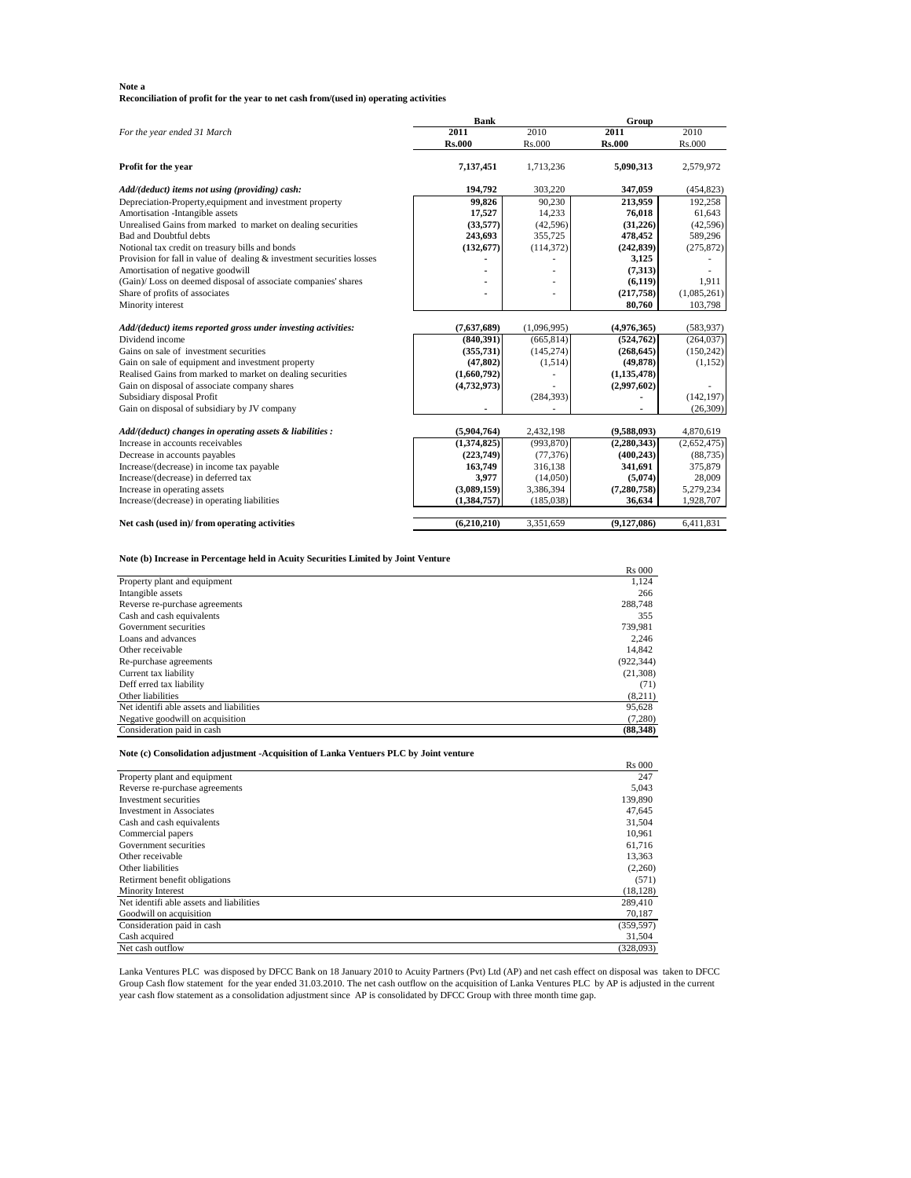## **Note a**

**Reconciliation of profit for the year to net cash from/(used in) operating activities**

|                                                                                  | <b>Bank</b>   |             | Group         |             |
|----------------------------------------------------------------------------------|---------------|-------------|---------------|-------------|
| For the year ended 31 March                                                      | 2011          | 2010        | 2011          | 2010        |
|                                                                                  | <b>Rs.000</b> | Rs.000      | <b>Rs.000</b> | Rs.000      |
| Profit for the year                                                              | 7,137,451     | 1,713,236   | 5,090,313     | 2,579,972   |
| Add/(deduct) items not using (providing) cash:                                   | 194,792       | 303,220     | 347,059       | (454, 823)  |
| Depreciation-Property, equipment and investment property                         | 99,826        | 90,230      | 213,959       | 192,258     |
| Amortisation -Intangible assets                                                  | 17,527        | 14,233      | 76,018        | 61,643      |
| Unrealised Gains from marked to market on dealing securities                     | (33,577)      | (42,596)    | (31,226)      | (42,596)    |
| Bad and Doubtful debts                                                           | 243,693       | 355,725     | 478,452       | 589,296     |
| Notional tax credit on treasury bills and bonds                                  | (132, 677)    | (114, 372)  | (242, 839)    | (275, 872)  |
| Provision for fall in value of dealing & investment securities losses            |               |             | 3,125         |             |
| Amortisation of negative goodwill                                                |               |             | (7,313)       |             |
| (Gain)/Loss on deemed disposal of associate companies' shares                    |               |             | (6, 119)      | 1.911       |
| Share of profits of associates                                                   |               |             | (217,758)     | (1,085,261) |
| Minority interest                                                                |               |             | 80,760        | 103,798     |
|                                                                                  |               |             |               |             |
| Add/(deduct) items reported gross under investing activities:<br>Dividend income | (7,637,689)   | (1,096,995) | (4,976,365)   | (583, 937)  |
|                                                                                  | (840,391)     | (665, 814)  | (524, 762)    | (264, 037)  |
| Gains on sale of investment securities                                           | (355, 731)    | (145, 274)  | (268, 645)    | (150, 242)  |
| Gain on sale of equipment and investment property                                | (47, 802)     | (1,514)     | (49, 878)     | (1, 152)    |
| Realised Gains from marked to market on dealing securities                       | (1,660,792)   |             | (1, 135, 478) |             |
| Gain on disposal of associate company shares                                     | (4,732,973)   |             | (2,997,602)   |             |
| Subsidiary disposal Profit                                                       |               | (284, 393)  |               | (142, 197)  |
| Gain on disposal of subsidiary by JV company                                     |               |             |               | (26, 309)   |
| Add/(deduct) changes in operating assets & liabilities :                         | (5,904,764)   | 2,432,198   | (9,588,093)   | 4,870,619   |
| Increase in accounts receivables                                                 | (1,374,825)   | (993, 870)  | (2, 280, 343) | (2,652,475) |
| Decrease in accounts payables                                                    | (223,749)     | (77, 376)   | (400, 243)    | (88, 735)   |
| Increase/(decrease) in income tax payable                                        | 163,749       | 316,138     | 341,691       | 375,879     |
| Increase/(decrease) in deferred tax                                              | 3,977         | (14,050)    | (5,074)       | 28,009      |
| Increase in operating assets                                                     | (3,089,159)   | 3,386,394   | (7, 280, 758) | 5,279,234   |
| Increase/(decrease) in operating liabilities                                     | (1,384,757)   | (185,038)   | 36,634        | 1,928,707   |
| Net cash (used in)/ from operating activities                                    | (6,210,210)   | 3,351,659   | (9, 127, 086) | 6,411,831   |
|                                                                                  |               |             |               |             |

## **Note (b) Increase in Percentage held in Acuity Securities Limited by Joint Venture**

|                                          | <b>Rs</b> 000 |
|------------------------------------------|---------------|
| Property plant and equipment             | 1.124         |
| Intangible assets                        | 266           |
| Reverse re-purchase agreements           | 288.748       |
| Cash and cash equivalents                | 355           |
| Government securities                    | 739.981       |
| Loans and advances                       | 2.246         |
| Other receivable                         | 14.842        |
| Re-purchase agreements                   | (922, 344)    |
| Current tax liability                    | (21,308)      |
| Deff erred tax liability                 | (71)          |
| Other liabilities                        | (8,211)       |
| Net identifi able assets and liabilities | 95,628        |
| Negative goodwill on acquisition         | (7,280)       |
| Consideration paid in cash               | (88.348)      |

**Note (c) Consolidation adjustment -Acquisition of Lanka Ventuers PLC by Joint venture**

|                                          | <b>Rs</b> 000 |
|------------------------------------------|---------------|
| Property plant and equipment             | 247           |
| Reverse re-purchase agreements           | 5.043         |
| Investment securities                    | 139,890       |
| <b>Investment in Associates</b>          | 47.645        |
| Cash and cash equivalents                | 31,504        |
| Commercial papers                        | 10,961        |
| Government securities                    | 61,716        |
| Other receivable                         | 13,363        |
| Other liabilities                        | (2,260)       |
| Retirment benefit obligations            | (571)         |
| Minority Interest                        | (18, 128)     |
| Net identifi able assets and liabilities | 289,410       |
| Goodwill on acquisition                  | 70,187        |
| Consideration paid in cash               | (359, 597)    |
| Cash acquired                            | 31,504        |
| Net cash outflow                         | (328,093)     |

Lanka Ventures PLC was disposed by DFCC Bank on 18 January 2010 to Acuity Partners (Pvt) Ltd (AP) and net cash effect on disposal was taken to DFCC Group Cash flow statement for the year ended 31.03.2010. The net cash outflow on the acquisition of Lanka Ventures PLC by AP is adjusted in the current year cash flow statement as a consolidation adjustment since AP is consolidated by DFCC Group with three month time gap.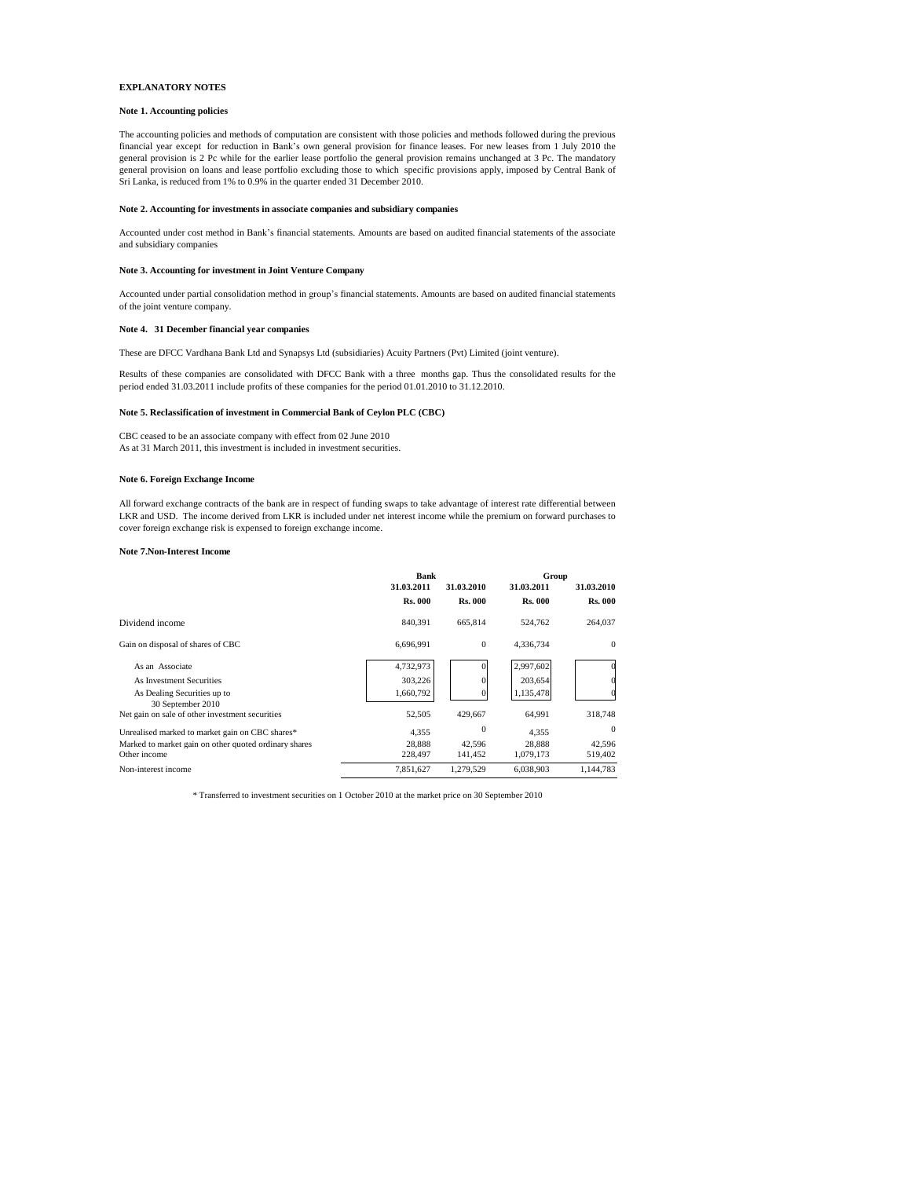## **EXPLANATORY NOTES**

## **Note 1. Accounting policies**

The accounting policies and methods of computation are consistent with those policies and methods followed during the previous financial year except for reduction in Bank's own general provision for finance leases. For new leases from 1 July 2010 the general provision is 2 Pc while for the earlier lease portfolio the general provision remains unchanged at 3 Pc. The mandatory general provision on loans and lease portfolio excluding those to which specific provisions apply, imposed by Central Bank of Sri Lanka, is reduced from 1% to 0.9% in the quarter ended 31 December 2010.

### **Note 2. Accounting for investments in associate companies and subsidiary companies**

Accounted under cost method in Bank's financial statements. Amounts are based on audited financial statements of the associate and subsidiary companies

## **Note 3. Accounting for investment in Joint Venture Company**

Accounted under partial consolidation method in group's financial statements. Amounts are based on audited financial statements of the joint venture company.

### **Note 4. 31 December financial year companies**

These are DFCC Vardhana Bank Ltd and Synapsys Ltd (subsidiaries) Acuity Partners (Pvt) Limited (joint venture).

Results of these companies are consolidated with DFCC Bank with a three months gap. Thus the consolidated results for the period ended 31.03.2011 include profits of these companies for the period 01.01.2010 to 31.12.2010.

### **Note 5. Reclassification of investment in Commercial Bank of Ceylon PLC (CBC)**

CBC ceased to be an associate company with effect from 02 June 2010 As at 31 March 2011, this investment is included in investment securities.

### **Note 6. Foreign Exchange Income**

All forward exchange contracts of the bank are in respect of funding swaps to take advantage of interest rate differential between LKR and USD. The income derived from LKR is included under net interest income while the premium on forward purchases to cover foreign exchange risk is expensed to foreign exchange income.

#### **Note 7.Non-Interest Income**

|                                                       | Bank           |                | Group          |                |  |
|-------------------------------------------------------|----------------|----------------|----------------|----------------|--|
|                                                       | 31.03.2011     | 31.03.2010     | 31.03.2011     | 31.03.2010     |  |
|                                                       | <b>Rs. 000</b> | <b>Rs. 000</b> | <b>Rs. 000</b> | <b>Rs. 000</b> |  |
| Dividend income                                       | 840.391        | 665,814        | 524,762        | 264,037        |  |
| Gain on disposal of shares of CBC                     | 6.696.991      | $\mathbf{0}$   | 4.336.734      | $\Omega$       |  |
| As an Associate                                       | 4,732,973      | $\Omega$       | 2,997,602      |                |  |
| As Investment Securities                              | 303,226        | $\Omega$       | 203,654        |                |  |
| As Dealing Securities up to                           | 1,660,792      | $\Omega$       | 1,135,478      |                |  |
| 30 September 2010                                     |                |                |                |                |  |
| Net gain on sale of other investment securities       | 52,505         | 429,667        | 64,991         | 318,748        |  |
| Unrealised marked to market gain on CBC shares*       | 4.355          | $\mathbf{0}$   | 4.355          | $\Omega$       |  |
| Marked to market gain on other quoted ordinary shares | 28.888         | 42.596         | 28.888         | 42.596         |  |
| Other income                                          | 228,497        | 141.452        | 1,079,173      | 519,402        |  |
| Non-interest income                                   | 7.851.627      | 1.279.529      | 6.038.903      | 1.144.783      |  |

\* Transferred to investment securities on 1 October 2010 at the market price on 30 September 2010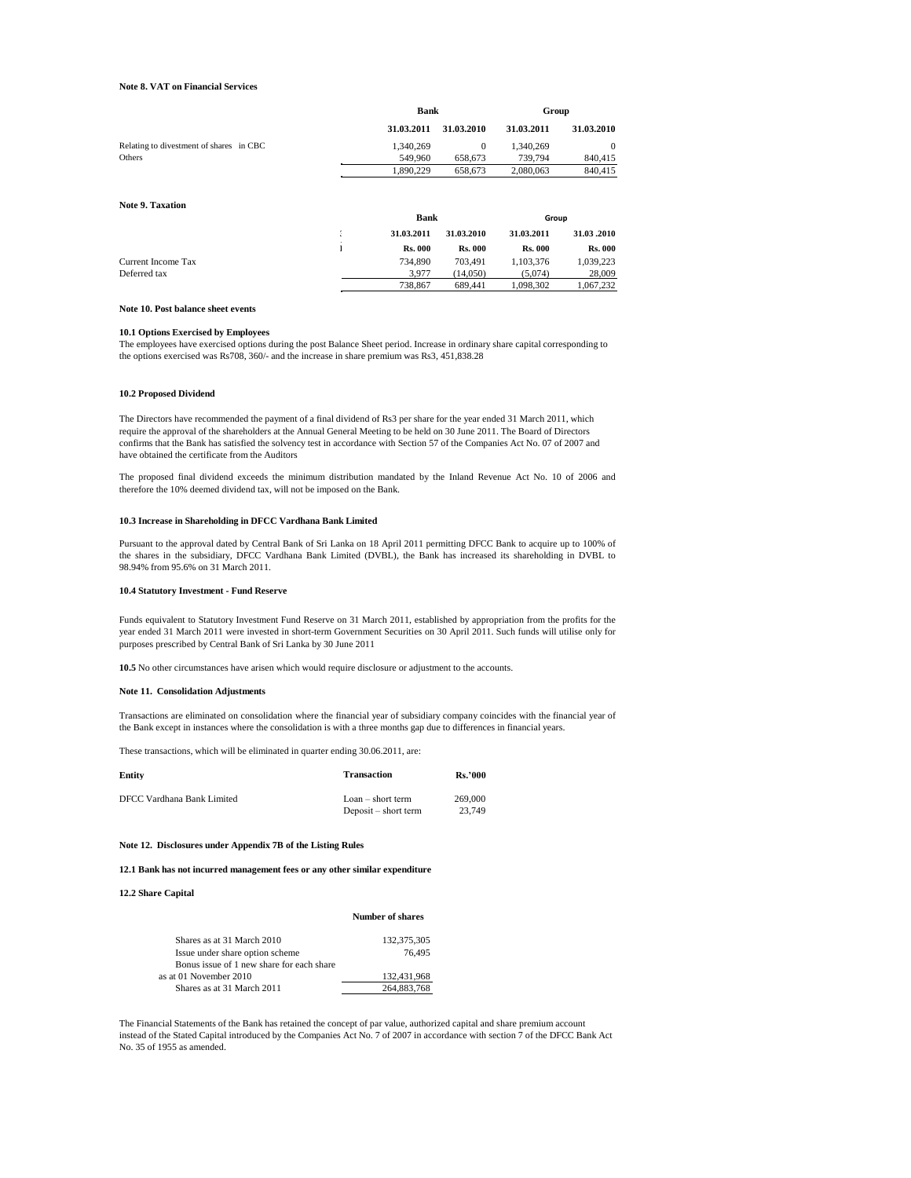## **Note 8. VAT on Financial Services**

|                                         |   | <b>Bank</b>    |                | Group          |                |
|-----------------------------------------|---|----------------|----------------|----------------|----------------|
|                                         |   | 31.03.2011     | 31.03.2010     | 31.03.2011     | 31.03.2010     |
| Relating to divestment of shares in CBC |   | 1.340.269      | $\Omega$       | 1.340.269      | $\theta$       |
| Others                                  |   | 549.960        | 658,673        | 739,794        | 840,415        |
|                                         |   | 1,890,229      | 658,673        | 2,080,063      | 840,415        |
| <b>Note 9. Taxation</b>                 |   | <b>Bank</b>    |                | Group          |                |
|                                         |   |                |                |                |                |
|                                         | t | 31.03.2011     | 31.03.2010     | 31.03.2011     | 31.03.2010     |
|                                         |   | <b>Rs. 000</b> | <b>Rs. 000</b> | <b>Rs. 000</b> | <b>Rs. 000</b> |
| Current Income Tax                      |   | 734,890        | 703.491        | 1,103,376      | 1,039,223      |
| Deferred tax                            |   | 3,977          | (14.050)       | (5.074)        | 28,009         |
|                                         |   | 738,867        | 689.441        | 1,098,302      | 1.067.232      |

### **Note 10. Post balance sheet events**

## **10.1 Options Exercised by Employees**

The employees have exercised options during the post Balance Sheet period. Increase in ordinary share capital corresponding to the options exercised was Rs708, 360/- and the increase in share premium was Rs3, 451,838.28

## **10.2 Proposed Dividend**

The Directors have recommended the payment of a final dividend of Rs3 per share for the year ended 31 March 2011, which require the approval of the shareholders at the Annual General Meeting to be held on 30 June 2011. The Board of Directors confirms that the Bank has satisfied the solvency test in accordance with Section 57 of the Companies Act No. 07 of 2007 and have obtained the certificate from the Auditors

The proposed final dividend exceeds the minimum distribution mandated by the Inland Revenue Act No. 10 of 2006 and therefore the 10% deemed dividend tax, will not be imposed on the Bank.

### **10.3 Increase in Shareholding in DFCC Vardhana Bank Limited**

Pursuant to the approval dated by Central Bank of Sri Lanka on 18 April 2011 permitting DFCC Bank to acquire up to 100% of the shares in the subsidiary, DFCC Vardhana Bank Limited (DVBL), the Bank has increased its shareholding in DVBL to 98.94% from 95.6% on 31 March 2011.

#### **10.4 Statutory Investment - Fund Reserve**

Funds equivalent to Statutory Investment Fund Reserve on 31 March 2011, established by appropriation from the profits for the year ended 31 March 2011 were invested in short-term Government Securities on 30 April 2011. Such funds will utilise only for purposes prescribed by Central Bank of Sri Lanka by 30 June 2011

**10.5** No other circumstances have arisen which would require disclosure or adjustment to the accounts.

### **Note 11. Consolidation Adjustments**

Transactions are eliminated on consolidation where the financial year of subsidiary company coincides with the financial year of the Bank except in instances where the consolidation is with a three months gap due to differences in financial years.

These transactions, which will be eliminated in quarter ending 30.06.2011, are:

| Entity                     | Transaction                                 | <b>Rs.'000</b>    |
|----------------------------|---------------------------------------------|-------------------|
| DFCC Vardhana Bank Limited | $Loan - short term$<br>Deposit – short term | 269,000<br>23.749 |

#### **Note 12. Disclosures under Appendix 7B of the Listing Rules**

**12.1 Bank has not incurred management fees or any other similar expenditure**

### **12.2 Share Capital**

### **Number of shares**

| Shares as at 31 March 2010                | 132,375,305 |
|-------------------------------------------|-------------|
| Issue under share option scheme           | 76.495      |
| Bonus issue of 1 new share for each share |             |
| as at 01 November 2010                    | 132.431.968 |
| Shares as at 31 March 2011                | 264,883,768 |

The Financial Statements of the Bank has retained the concept of par value, authorized capital and share premium account instead of the Stated Capital introduced by the Companies Act No. 7 of 2007 in accordance with section 7 of the DFCC Bank Act No. 35 of 1955 as amended.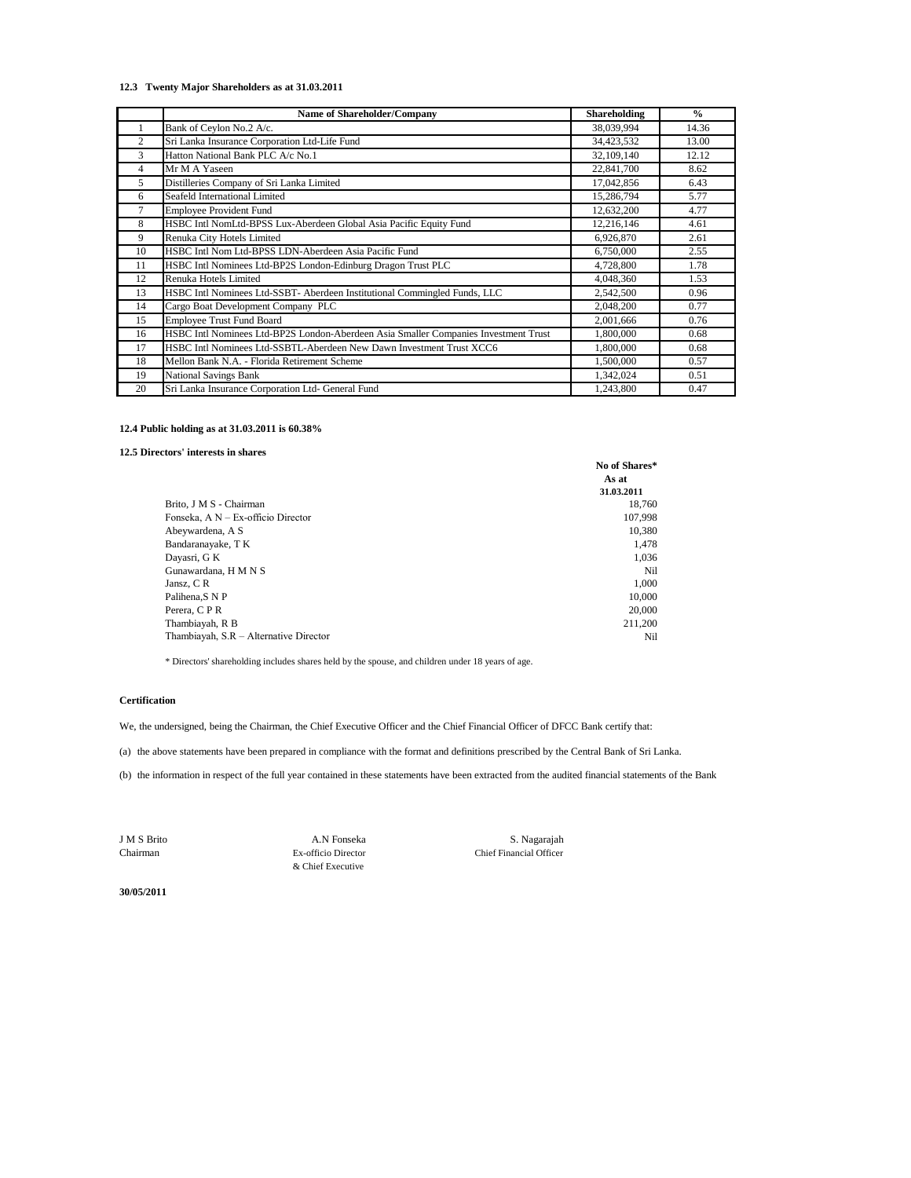## **12.3 Twenty Major Shareholders as at 31.03.2011**

|                | <b>Name of Shareholder/Company</b>                                                  | <b>Shareholding</b> | $\frac{0}{0}$ |
|----------------|-------------------------------------------------------------------------------------|---------------------|---------------|
|                | Bank of Ceylon No.2 A/c.                                                            | 38,039,994          | 14.36         |
| $\overline{c}$ | Sri Lanka Insurance Corporation Ltd-Life Fund                                       | 34,423,532          | 13.00         |
| 3              | Hatton National Bank PLC A/c No.1                                                   | 32,109,140          | 12.12         |
| 4              | Mr M A Yaseen                                                                       | 22,841,700          | 8.62          |
| 5              | Distilleries Company of Sri Lanka Limited                                           | 17,042,856          | 6.43          |
| 6              | Seafeld International Limited                                                       | 15,286,794          | 5.77          |
| 7              | <b>Employee Provident Fund</b>                                                      | 12,632,200          | 4.77          |
| 8              | HSBC Intl NomLtd-BPSS Lux-Aberdeen Global Asia Pacific Equity Fund                  | 12,216,146          | 4.61          |
| 9              | Renuka City Hotels Limited                                                          | 6,926,870           | 2.61          |
| 10             | HSBC Intl Nom Ltd-BPSS LDN-Aberdeen Asia Pacific Fund                               | 6,750,000           | 2.55          |
| 11             | HSBC Intl Nominees Ltd-BP2S London-Edinburg Dragon Trust PLC                        | 4,728,800           | 1.78          |
| 12             | Renuka Hotels Limited                                                               | 4,048,360           | 1.53          |
| 13             | HSBC Intl Nominees Ltd-SSBT- Aberdeen Institutional Commingled Funds, LLC           | 2,542,500           | 0.96          |
| 14             | Cargo Boat Development Company PLC                                                  | 2,048,200           | 0.77          |
| 15             | <b>Employee Trust Fund Board</b>                                                    | 2,001,666           | 0.76          |
| 16             | HSBC Intl Nominees Ltd-BP2S London-Aberdeen Asia Smaller Companies Investment Trust | 1,800,000           | 0.68          |
| 17             | HSBC Intl Nominees Ltd-SSBTL-Aberdeen New Dawn Investment Trust XCC6                | 1,800,000           | 0.68          |
| 18             | Mellon Bank N.A. - Florida Retirement Scheme                                        | 1,500,000           | 0.57          |
| 19             | <b>National Savings Bank</b>                                                        | 1,342,024           | 0.51          |
| 20             | Sri Lanka Insurance Corporation Ltd- General Fund                                   | 1,243,800           | 0.47          |

## **12.4 Public holding as at 31.03.2011 is 60.38%**

# **12.5 Directors' interests in shares**

|                                        | No of Shares*<br>As at<br>31.03.2011 |
|----------------------------------------|--------------------------------------|
| Brito, J M S - Chairman                | 18,760                               |
| Fonseka, A N - Ex-officio Director     | 107,998                              |
| Abeywardena, A S                       | 10,380                               |
| Bandaranayake, T K                     | 1,478                                |
| Dayasri, G K                           | 1.036                                |
| Gunawardana, H M N S                   | Nil                                  |
| Jansz, CR                              | 1,000                                |
| Palihena, SNP                          | 10,000                               |
| Perera, C P R                          | 20,000                               |
| Thambiayah, R B                        | 211.200                              |
| Thambiayah, S.R - Alternative Director | Nil                                  |

\* Directors' shareholding includes shares held by the spouse, and children under 18 years of age.

# **Certification**

We, the undersigned, being the Chairman, the Chief Executive Officer and the Chief Financial Officer of DFCC Bank certify that:

(a) the above statements have been prepared in compliance with the format and definitions prescribed by the Central Bank of Sri Lanka.

(b) the information in respect of the full year contained in these statements have been extracted from the audited financial statements of the Bank

& Chief Executive

Chairman Ex-officio Director Chief Financial Officer J M S Brito A.N Fonseka S. Nagarajah

**30/05/2011**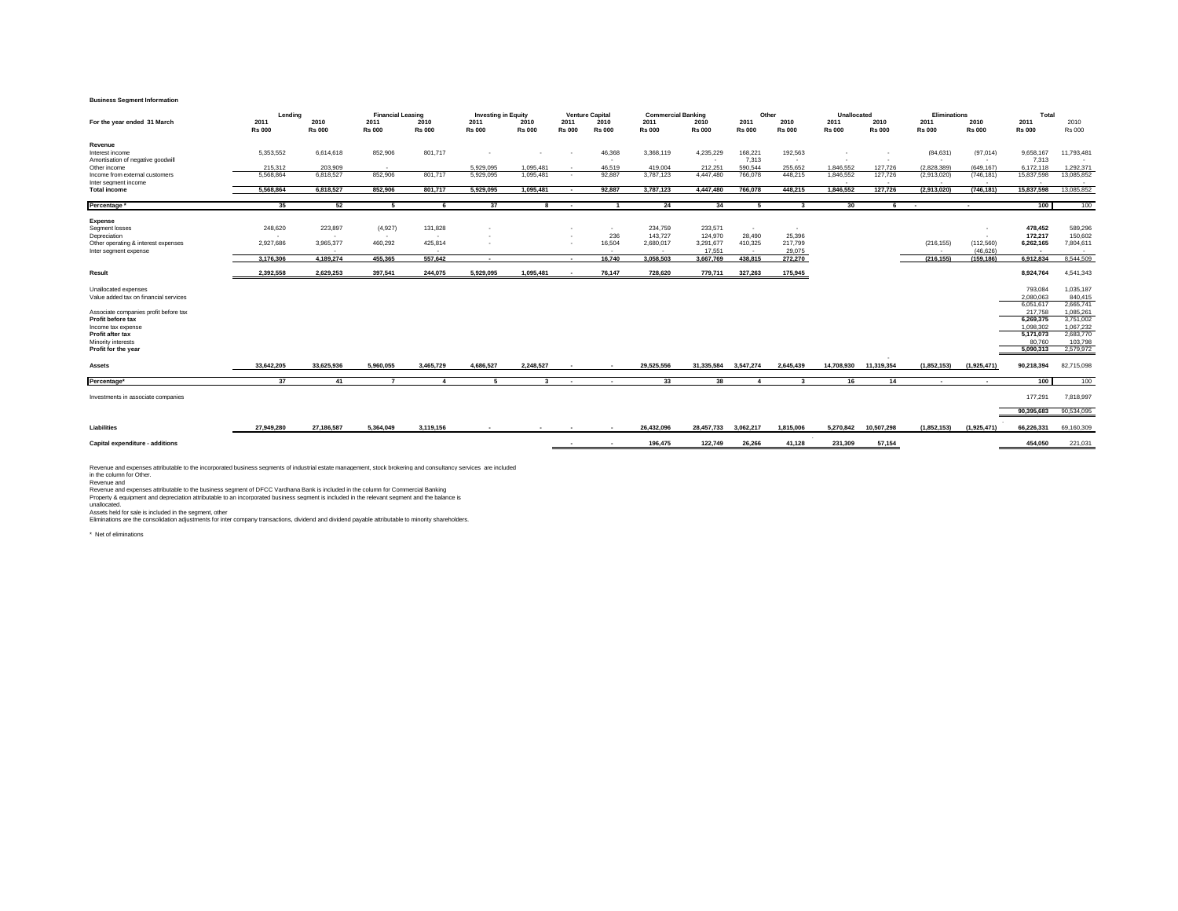#### **Business Segment Information**

|                                                               | Lendina               |                       | <b>Financial Leasing</b> |                       | <b>Investing in Equity</b> |                       |                       | <b>Venture Capital</b> | <b>Commercial Banking</b> |                       | Other                 |                       | Unallocated           |                       | <b>Eliminations</b>   |                       | Total                 |                       |
|---------------------------------------------------------------|-----------------------|-----------------------|--------------------------|-----------------------|----------------------------|-----------------------|-----------------------|------------------------|---------------------------|-----------------------|-----------------------|-----------------------|-----------------------|-----------------------|-----------------------|-----------------------|-----------------------|-----------------------|
| For the year ended 31 March                                   | 2011<br><b>Rs 000</b> | 2010<br><b>Rs 000</b> | 2011<br><b>Rs 000</b>    | 2010<br><b>Rs 000</b> | 2011<br><b>Rs 000</b>      | 2010<br><b>Rs 000</b> | 2011<br><b>Rs 000</b> | 2010<br><b>Rs 000</b>  | 2011<br><b>Rs 000</b>     | 2010<br><b>Rs 000</b> | 2011<br><b>Rs 000</b> | 2010<br><b>Rs 000</b> | 2011<br><b>Rs 000</b> | 2010<br><b>Rs 000</b> | 2011<br><b>Rs 000</b> | 2010<br><b>Rs 000</b> | 2011<br><b>Rs 000</b> | 2010<br><b>Rs 000</b> |
|                                                               |                       |                       |                          |                       |                            |                       |                       |                        |                           |                       |                       |                       |                       |                       |                       |                       |                       |                       |
| Revenue                                                       |                       |                       |                          |                       |                            |                       |                       |                        |                           |                       |                       |                       |                       |                       |                       |                       |                       |                       |
| Interest income                                               | 5.353.552             | 6,614,618             | 852,906                  | 801,717               |                            | ×.                    | ۰.                    | 46,368                 | 3,368,119                 | 4,235,229             | 168,221               | 192,563               |                       |                       | (84, 631)             | (97,014)              | 9,658,167             | 11,793,481            |
| Amortisation of negative goodwill<br>Other income             | 215,312               | 203,909               | . .                      |                       | 5,929,095                  | 1.095.481             | . .                   | 46.519                 | 419,004                   | 212,251               | 7,313<br>590,544      | . .<br>255,652        | 1.846.552             | 127,726               | $\sim$<br>(2,828,389) | $\sim$<br>(649, 167)  | 7,313<br>6,172,118    | 1,292,371             |
| Income from external customers                                | 5.568.864             | 6,818,527             | 852,906                  | 801.717               | 5.929.095                  | 1.095.481             | $\sim$                | 92,887                 | 3,787,123                 | 4,447,480             | 766,078               | 448,215               | 1,846,552             | 127,726               | (2,913,020)           | (746, 181)            | 15,837,598            | 13,085,852            |
| Inter segment income                                          |                       |                       |                          |                       |                            |                       |                       |                        |                           |                       |                       |                       | $\sim$                | $\sim$                | $\sim$                | $\sim$                |                       | . .                   |
| <b>Total income</b>                                           | 5.568.864             | 6.818.527             | 852.906                  | 801.717               | 5.929.095                  | 1.095.481             | $\sim$                | 92.887                 | 3,787,123                 | 4.447.480             | 766.078               | 448.215               | 1.846.552             | 127,726               | (2.913.020)           | (746.181)             | 15,837,598            | 13,085,852            |
| Percentage                                                    | 35                    | 52                    | -5                       | -6                    | 37                         |                       | . .                   |                        | 24                        | 34                    | 5                     | $\mathbf{3}$          | 30                    |                       | $\sim$                | $\sim$                | 100                   | 100                   |
|                                                               |                       |                       |                          |                       |                            |                       |                       |                        |                           |                       |                       |                       |                       |                       |                       |                       |                       |                       |
| <b>Expense</b><br>Segment losses                              | 248,620               | 223,897               | (4,927)                  | 131,828               |                            |                       |                       | $\mathbf{r}$           | 234,759                   | 233,571               | $\sim$                | $\sim$                |                       |                       |                       |                       | 478,452               | 589,296               |
| Depreciation                                                  | <b>1979</b>           | . .                   | $\sim$                   | $\sim$                |                            |                       |                       | 236                    | 143,727                   | 124,970               | 28,490                | 25,396                |                       |                       |                       | $\sim$                | 172,217               | 150,602               |
| Other operating & interest expenses                           | 2,927,686             | 3,965,377             | 460,292                  | 425,814               |                            |                       |                       | 16,504                 | 2,680,017                 | 3,291,677             | 410,325               | 217,799               |                       |                       | (216, 155)            | (112,560)             | 6,262,165             | 7,804,611             |
| Inter segment expense                                         |                       | $\sim$                |                          |                       |                            |                       |                       | $\sim$                 | $\sim$                    | 17,551                | <b>COL</b>            | 29,075                |                       |                       | $\sim$                | (46, 626)             | . .                   | $\sim$                |
|                                                               | 3,176,306             | 4,189,274             | 455,365                  | 557,642               | $\sim$                     |                       | $\sim$                | 16,740                 | 3,058,503                 | 3,667,769             | 438,815               | 272,270               |                       |                       | (216, 155)            | (159, 186)            | 6,912,834             | 8,544,509             |
| Result                                                        | 2.392.558             | 2.629.253             | 397,541                  | 244.075               | 5,929,095                  | 1.095.481             | $\sim$                | 76.147                 | 728,620                   | 779,711               | 327.263               | 175,945               |                       |                       |                       |                       | 8,924,764             | 4,541,343             |
|                                                               |                       |                       |                          |                       |                            |                       |                       |                        |                           |                       |                       |                       |                       |                       |                       |                       |                       |                       |
| Unallocated expenses<br>Value added tax on financial services |                       |                       |                          |                       |                            |                       |                       |                        |                           |                       |                       |                       |                       |                       |                       |                       | 793,084<br>2.080.063  | 1,035,187<br>840,415  |
|                                                               |                       |                       |                          |                       |                            |                       |                       |                        |                           |                       |                       |                       |                       |                       |                       |                       | 6,051,617             | 2,665,741             |
| Associate companies profit before tax                         |                       |                       |                          |                       |                            |                       |                       |                        |                           |                       |                       |                       |                       |                       |                       |                       | 217,758               | 1.085.261             |
| Profit before tax                                             |                       |                       |                          |                       |                            |                       |                       |                        |                           |                       |                       |                       |                       |                       |                       |                       | 6,269,375             | 3,751,002             |
| Income tax expense                                            |                       |                       |                          |                       |                            |                       |                       |                        |                           |                       |                       |                       |                       |                       |                       |                       | 1.098.302             | 1,067,232             |
| Profit after tax                                              |                       |                       |                          |                       |                            |                       |                       |                        |                           |                       |                       |                       |                       |                       |                       |                       | 5.171.073             | 2.683,770<br>103,798  |
| Minority interests<br>Profit for the year                     |                       |                       |                          |                       |                            |                       |                       |                        |                           |                       |                       |                       |                       |                       |                       |                       | 80.760<br>5,090,313   | 2,579,972             |
|                                                               |                       |                       |                          |                       |                            |                       |                       |                        |                           |                       |                       |                       |                       |                       |                       |                       |                       |                       |
| Assets                                                        | 33.642.205            | 33.625.936            | 5.960.055                | 3.465.729             | 4.686.527                  | 2.248.527             |                       |                        | 29.525.556                | 31.335.584 3.547.274  |                       | 2.645.439             | 14.708.930            | 11.319.354            | (1.852.153)           | (1,925,471)           | 90.218.394            | 82.715.098            |
| Percentage*                                                   | 37                    | 41                    |                          | $\overline{4}$        | 5                          | $\mathbf{\mathbf{R}}$ | $\sim$                | $\sim$                 | 33                        | 38                    | $\overline{a}$        | $\mathbf{3}$          | 16                    | 14                    | . .                   | $\sim$                | 100                   | $-100$                |
| Investments in associate companies                            |                       |                       |                          |                       |                            |                       |                       |                        |                           |                       |                       |                       |                       |                       |                       |                       | 177,291               | 7,818,997             |
|                                                               |                       |                       |                          |                       |                            |                       |                       |                        |                           |                       |                       |                       |                       |                       |                       |                       | 90,395,683            | 90,534,095            |
|                                                               |                       |                       |                          |                       |                            |                       |                       |                        |                           |                       |                       |                       |                       |                       |                       |                       |                       |                       |
| Liabilities                                                   | 27.949.280            | 27,186,587            | 5.364.049                | 3.119.156             |                            |                       |                       |                        | 26,432,096                | 28,457,733            | 3,062,217             | 1,815,006             | 5.270.842             | 10,507,298            | (1,852,153)           | (1,925,471)           | 66,226,331            | 69,160,309            |
| Capital expenditure - additions                               |                       |                       |                          |                       |                            |                       |                       |                        | 196,475                   | 122,749               | 26,266                | 41.128                | 231,309               | 57,154                |                       |                       | 454,050               | 221,031               |
|                                                               |                       |                       |                          |                       |                            |                       |                       |                        |                           |                       |                       |                       |                       |                       |                       |                       |                       |                       |

Revenue and expenses attributable to the incorporated business segments of industrial estate management, stock brokering and consultancy services are included<br>In the column for Other.<br>Revenue and expenses attributable to t

unallocated.<br>Assets held for sale is included in the segment, other<br>Eliminations are the consolidation adjustments for inter company transactions, dividend and dividend payable attributable to minority shareholders.

\* Net of eliminations